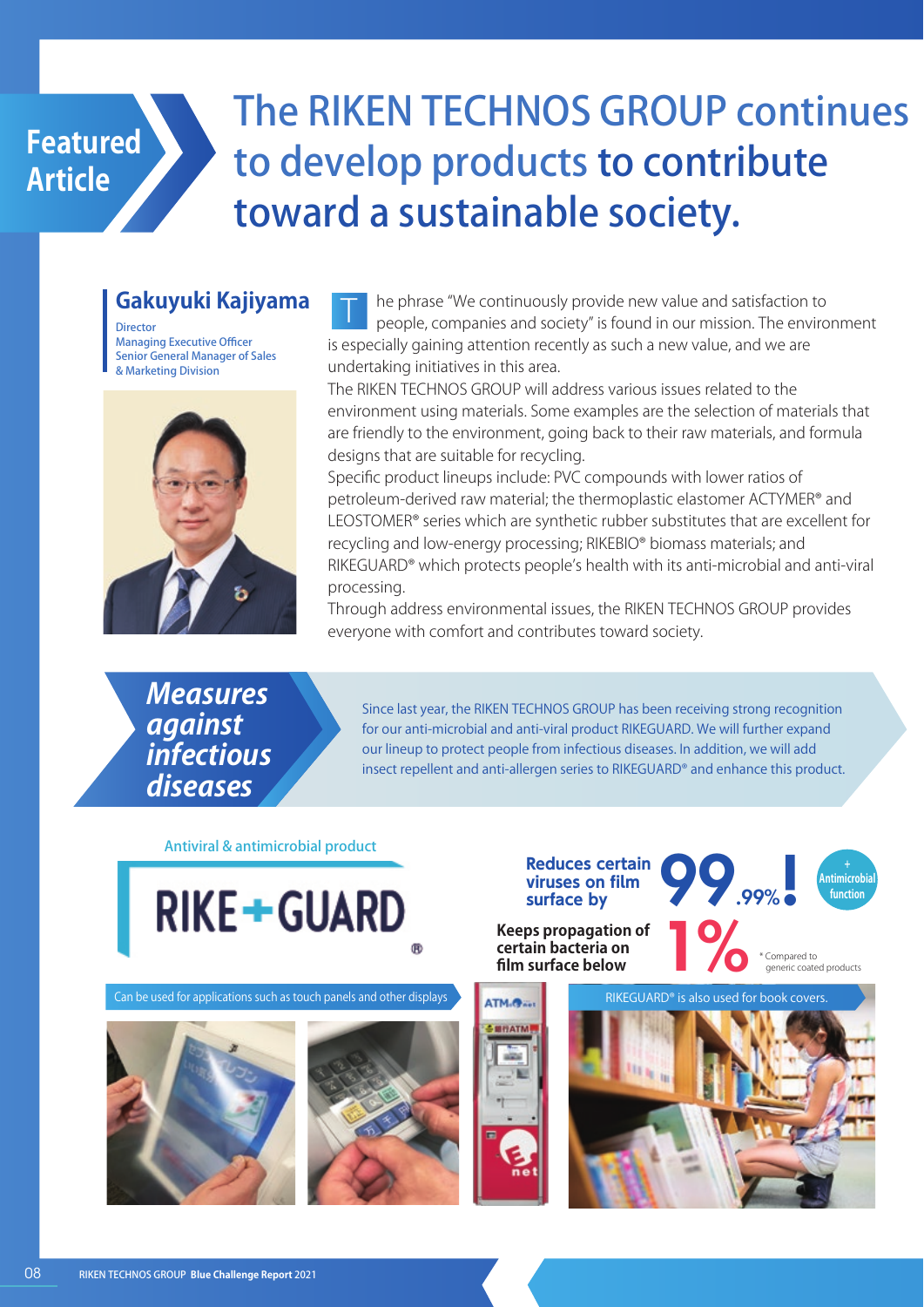

# The RIKEN TECHNOS GROUP continues to develop products to contribute toward a sustainable society.

### **Gakuyuki Kajiyama**

**Director** Managing Executive Officer Senior General Manager of Sales & Marketing Division



he phrase "We continuously provide new value and satisfaction to people, companies and society" is found in our mission. The environment is especially gaining attention recently as such a new value, and we are undertaking initiatives in this area.  $\mathbb T$ 

The RIKEN TECHNOS GROUP will address various issues related to the environment using materials. Some examples are the selection of materials that are friendly to the environment, going back to their raw materials, and formula designs that are suitable for recycling.

Specific product lineups include: PVC compounds with lower ratios of petroleum-derived raw material; the thermoplastic elastomer ACTYMER® and LEOSTOMER® series which are synthetic rubber substitutes that are excellent for recycling and low-energy processing; RIKEBIO® biomass materials; and RIKEGUARD® which protects people's health with its anti-microbial and anti-viral processing.

Through address environmental issues, the RIKEN TECHNOS GROUP provides everyone with comfort and contributes toward society.

**Measures against infectious diseases**

Since last year, the RIKEN TECHNOS GROUP has been receiving strong recognition for our anti-microbial and anti-viral product RIKEGUARD. We will further expand our lineup to protect people from infectious diseases. In addition, we will add insect repellent and anti-allergen series to RIKEGUARD® and enhance this product.

Antiviral & antimicrobial product

**RIKE+GUARD** 

Can be used for applications such as touch panels and other displays  $\overline{\phantom{a}}$  RIKEGUARD<sup>®</sup> is also used for applications such as touch panels and other displays



**Reduces certain viruses on film surface by**

99.99%!

**+ Antimicrobial function**

**Keeps propagation of<br>
certain bacteria on<br>
film surface below<br>
<b>computed certain bacteria on**

Compared to generic coated products

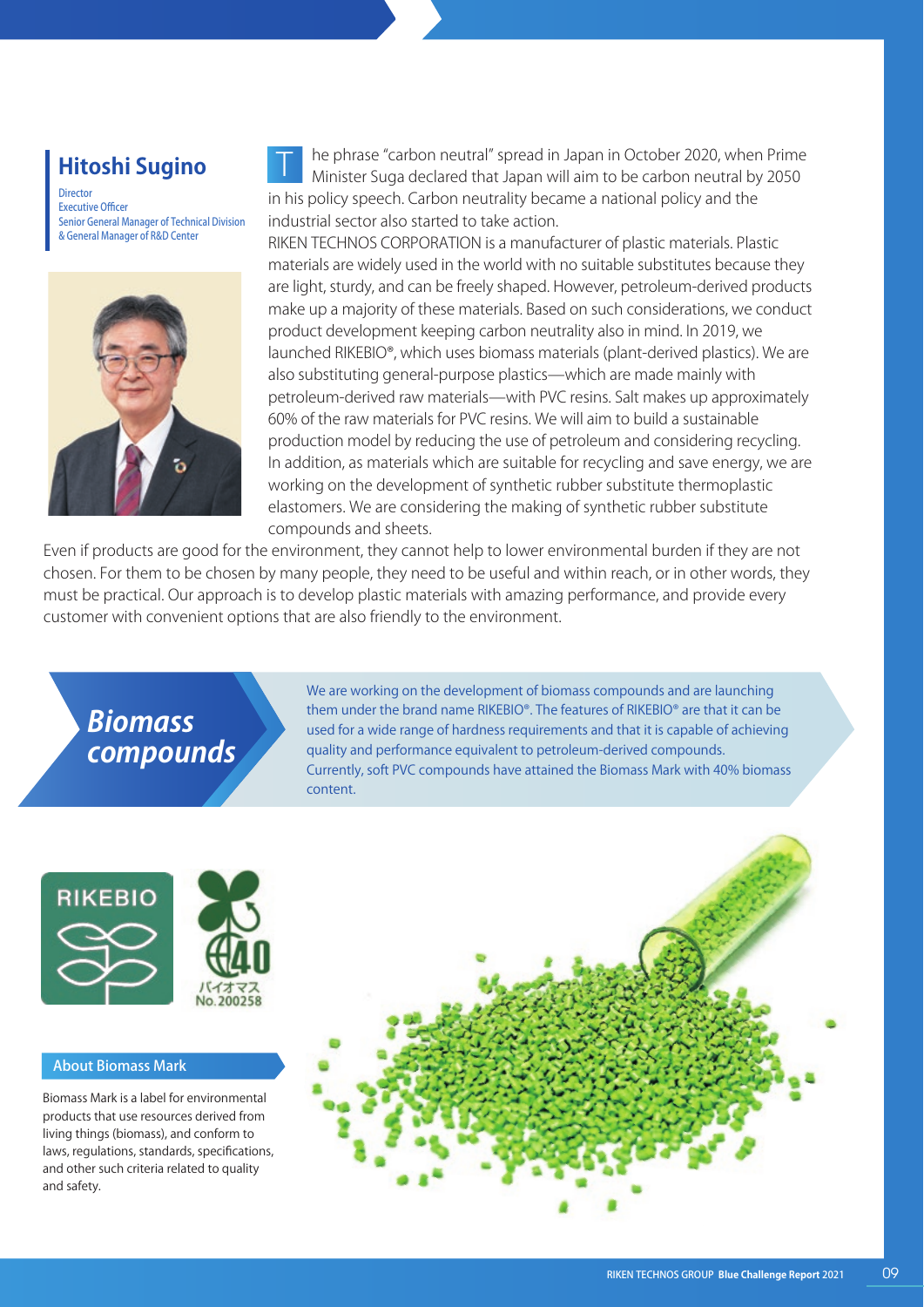### **Hitoshi Sugino**

Director Executive Officer Senior General Manager of Technical Division & General Manager of R&D Center



he phrase "carbon neutral" spread in Japan in October 2020, when Prime Minister Suga declared that Japan will aim to be carbon neutral by 2050 in his policy speech. Carbon neutrality became a national policy and the industrial sector also started to take action. T

RIKEN TECHNOS CORPORATION is a manufacturer of plastic materials. Plastic materials are widely used in the world with no suitable substitutes because they are light, sturdy, and can be freely shaped. However, petroleum-derived products make up a majority of these materials. Based on such considerations, we conduct product development keeping carbon neutrality also in mind. In 2019, we launched RIKEBIO®, which uses biomass materials (plant-derived plastics). We are also substituting general-purpose plastics—which are made mainly with petroleum-derived raw materials̶with PVC resins. Salt makes up approximately 60% of the raw materials for PVC resins. We will aim to build a sustainable production model by reducing the use of petroleum and considering recycling. In addition, as materials which are suitable for recycling and save energy, we are working on the development of synthetic rubber substitute thermoplastic elastomers. We are considering the making of synthetic rubber substitute compounds and sheets.

Even if products are good for the environment, they cannot help to lower environmental burden if they are not chosen. For them to be chosen by many people, they need to be useful and within reach, or in other words, they must be practical. Our approach is to develop plastic materials with amazing performance, and provide every customer with convenient options that are also friendly to the environment.

**Biomass compounds** We are working on the development of biomass compounds and are launching them under the brand name RIKEBIO®. The features of RIKEBIO® are that it can be used for a wide range of hardness requirements and that it is capable of achieving quality and performance equivalent to petroleum-derived compounds. Currently, soft PVC compounds have attained the Biomass Mark with 40% biomass content.





#### About Biomass Mark

Biomass Mark is a label for environmental products that use resources derived from living things (biomass), and conform to laws, regulations, standards, specifications, and other such criteria related to quality and safety.

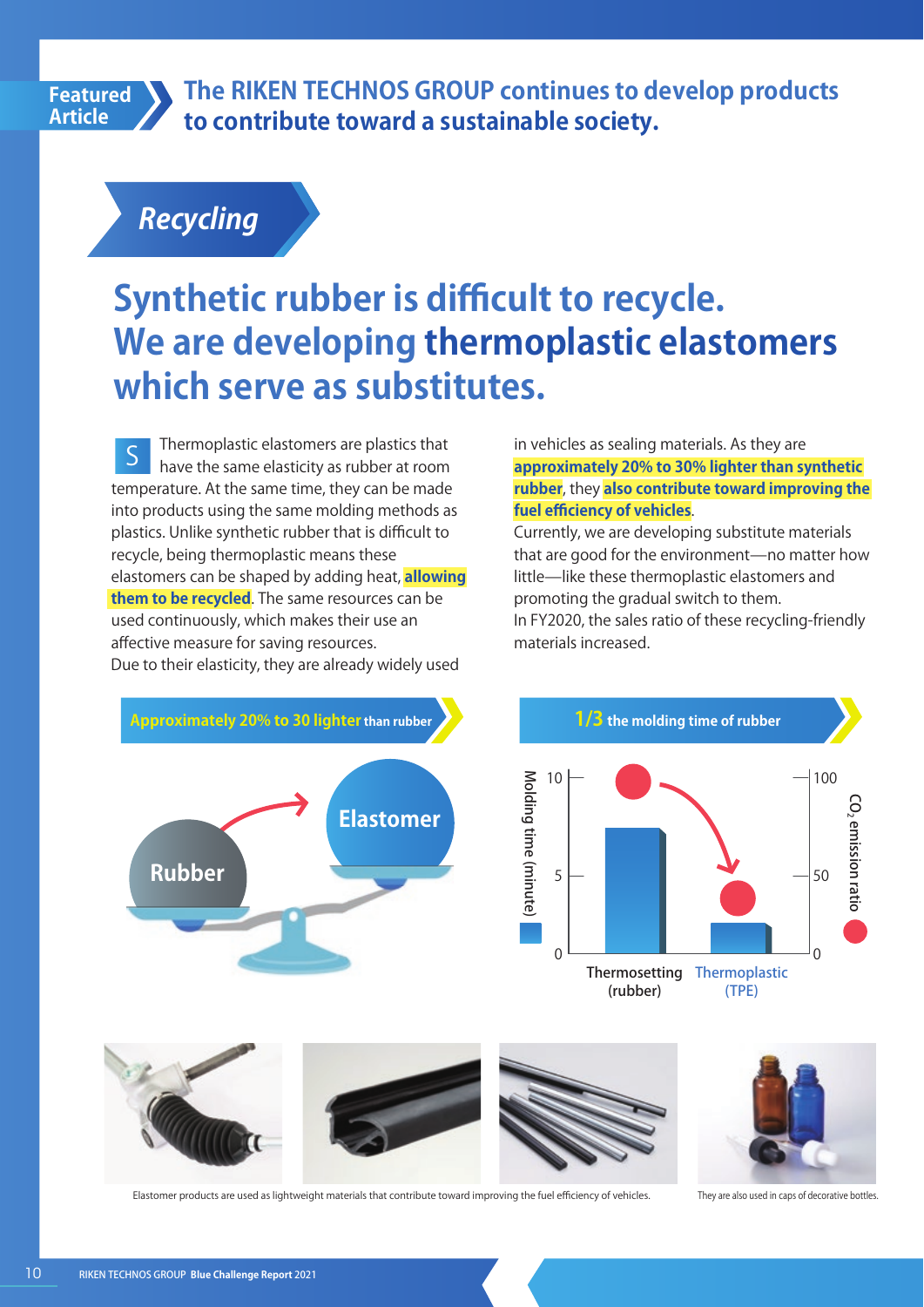#### **Featured Article**

**The RIKEN TECHNOS GROUP continues to develop products to contribute toward a sustainable society.**

**Recycling**

# **Synthetic rubber is difficult to recycle. We are developing thermoplastic elastomers which serve as substitutes.**

Thermoplastic elastomers are plastics that have the same elasticity as rubber at room temperature. At the same time, they can be made into products using the same molding methods as plastics. Unlike synthetic rubber that is difficult to recycle, being thermoplastic means these elastomers can be shaped by adding heat, **allowing them to be recycled**. The same resources can be used continuously, which makes their use an affective measure for saving resources. Due to their elasticity, they are already widely used S

in vehicles as sealing materials. As they are **approximately 20% to 30% lighter than synthetic rubber**, they **also contribute toward improving the fuel efficiency of vehicles**.

Currently, we are developing substitute materials that are good for the environment—no matter how little—like these thermoplastic elastomers and promoting the gradual switch to them. In FY2020, the sales ratio of these recycling-friendly materials increased.







Elastomer products are used as lightweight materials that contribute toward improving the fuel efficiency of vehicles. They are also used in caps of decorative bottles